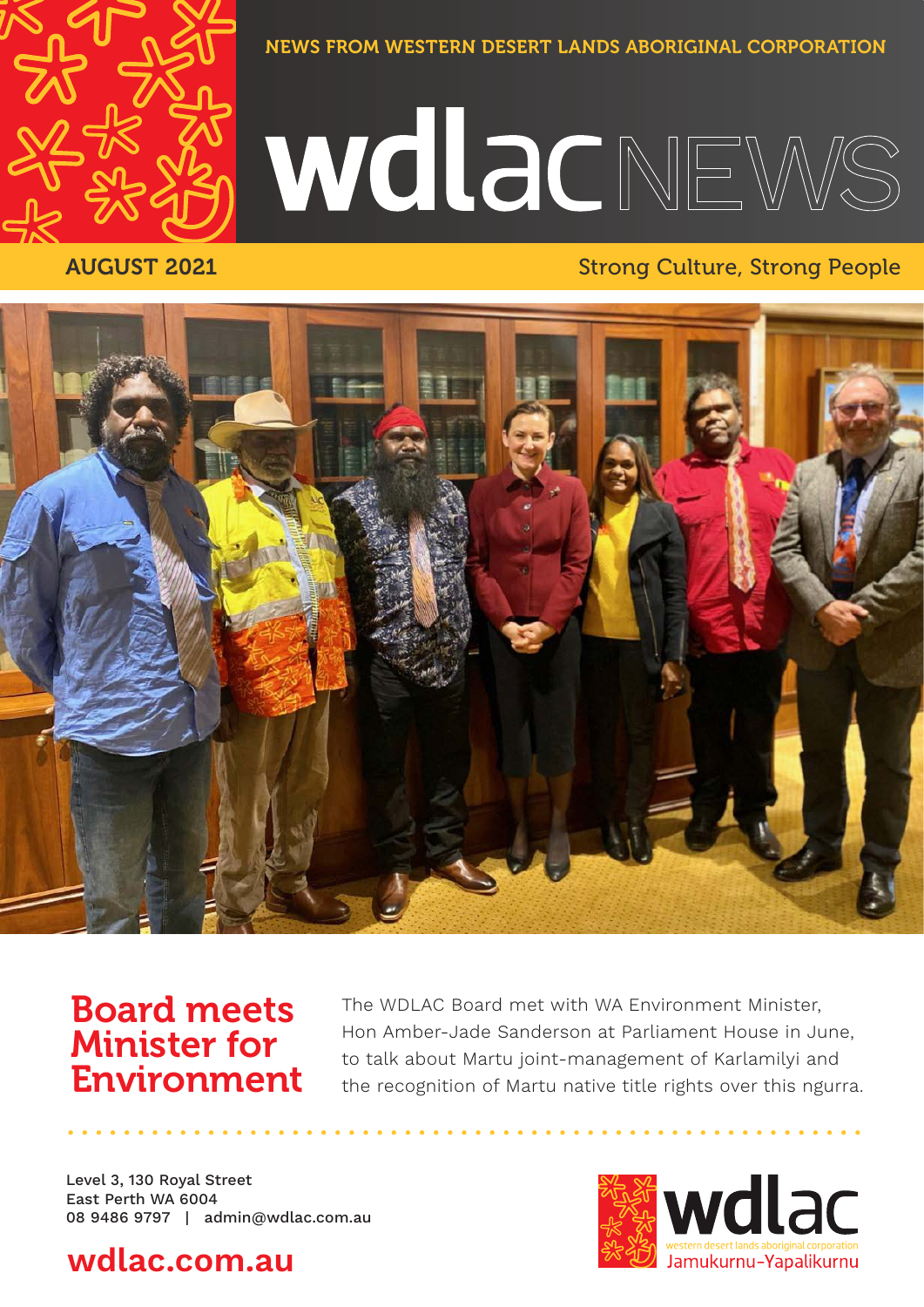

NEWS FROM WESTERN DESERT LANDS ABORIGINAL CORPORATION

# WINGCNEWS

#### AUGUST 2021 **Strong Culture, Strong People**



### Board meets Minister for Environment

The WDLAC Board met with WA Environment Minister, Hon Amber-Jade Sanderson at Parliament House in June, to talk about Martu joint-management of Karlamilyi and the recognition of Martu native title rights over this ngurra.

Level 3, 130 Royal Street East Perth WA 6004 08 9486 9797 | admin@wdlac.com.au

### **wdlac.com.au**

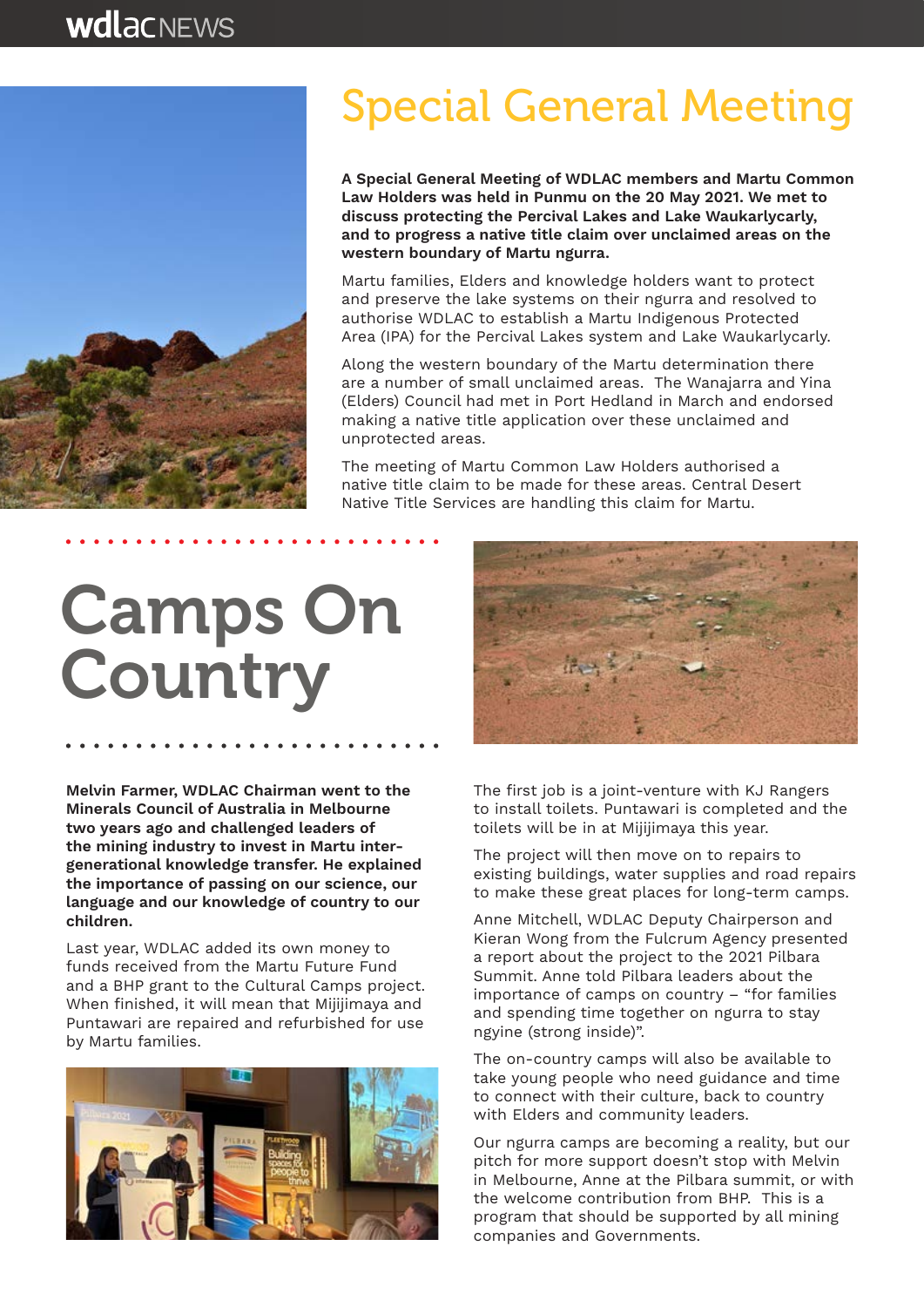

### Special General Meeting

**A Special General Meeting of WDLAC members and Martu Common Law Holders was held in Punmu on the 20 May 2021. We met to discuss protecting the Percival Lakes and Lake Waukarlycarly, and to progress a native title claim over unclaimed areas on the western boundary of Martu ngurra.**

Martu families, Elders and knowledge holders want to protect and preserve the lake systems on their ngurra and resolved to authorise WDLAC to establish a Martu Indigenous Protected Area (IPA) for the Percival Lakes system and Lake Waukarlycarly.

Along the western boundary of the Martu determination there are a number of small unclaimed areas. The Wanajarra and Yina (Elders) Council had met in Port Hedland in March and endorsed making a native title application over these unclaimed and unprotected areas.

The meeting of Martu Common Law Holders authorised a native title claim to be made for these areas. Central Desert Native Title Services are handling this claim for Martu.

# Camps On **Country**

**Melvin Farmer, WDLAC Chairman went to the Minerals Council of Australia in Melbourne two years ago and challenged leaders of the mining industry to invest in Martu intergenerational knowledge transfer. He explained the importance of passing on our science, our language and our knowledge of country to our children.**

Last year, WDLAC added its own money to funds received from the Martu Future Fund and a BHP grant to the Cultural Camps project. When finished, it will mean that Mijijimaya and Puntawari are repaired and refurbished for use by Martu families.





The first job is a joint-venture with KJ Rangers to install toilets. Puntawari is completed and the toilets will be in at Mijijimaya this year.

The project will then move on to repairs to existing buildings, water supplies and road repairs to make these great places for long-term camps.

Anne Mitchell, WDLAC Deputy Chairperson and Kieran Wong from the Fulcrum Agency presented a report about the project to the 2021 Pilbara Summit. Anne told Pilbara leaders about the importance of camps on country – "for families and spending time together on ngurra to stay ngyine (strong inside)".

The on-country camps will also be available to take young people who need guidance and time to connect with their culture, back to country with Elders and community leaders.

Our ngurra camps are becoming a reality, but our pitch for more support doesn't stop with Melvin in Melbourne, Anne at the Pilbara summit, or with the welcome contribution from BHP. This is a program that should be supported by all mining companies and Governments.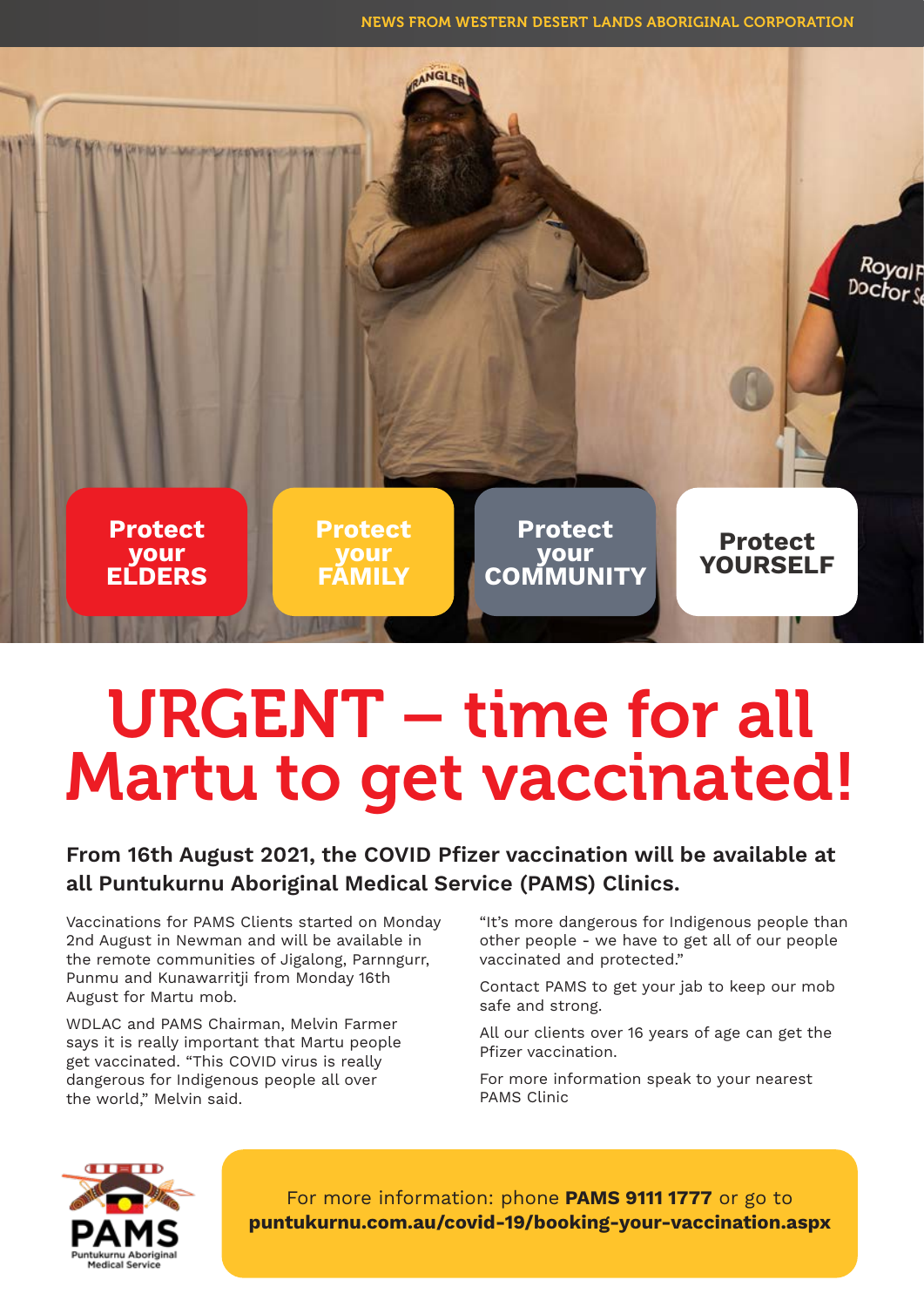NEWS FROM WESTERN DESERT LANDS ABORIGINAL CORPORATION



## URGENT – time for all Martu to get vaccinated!

#### **From 16th August 2021, the COVID Pfizer vaccination will be available at all Puntukurnu Aboriginal Medical Service (PAMS) Clinics.**

Vaccinations for PAMS Clients started on Monday 2nd August in Newman and will be available in the remote communities of Jigalong, Parnngurr, Punmu and Kunawarritji from Monday 16th August for Martu mob.

WDLAC and PAMS Chairman, Melvin Farmer says it is really important that Martu people get vaccinated. "This COVID virus is really dangerous for Indigenous people all over the world," Melvin said.

"It's more dangerous for Indigenous people than other people - we have to get all of our people vaccinated and protected."

Contact PAMS to get your jab to keep our mob safe and strong.

All our clients over 16 years of age can get the Pfizer vaccination.

For more information speak to your nearest PAMS Clinic



For more information: phone **PAMS 9111 1777** or go to **puntukurnu.com.au/covid-19/booking-your-vaccination.aspx**